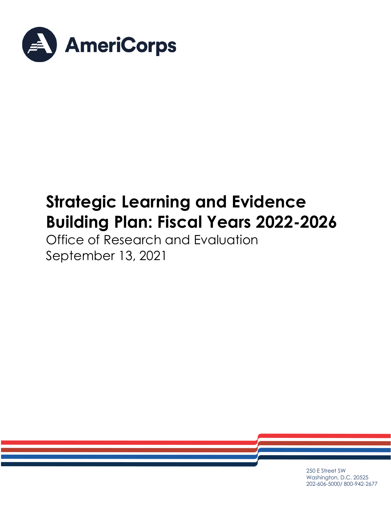

# **Strategic Learning and Evidence Building Plan: Fiscal Years 2022-2026**

Office of Research and Evaluation September 13, 2021

> 250 E Street SW Washington, D.C. 20525 202-606-5000/ 800-942-2677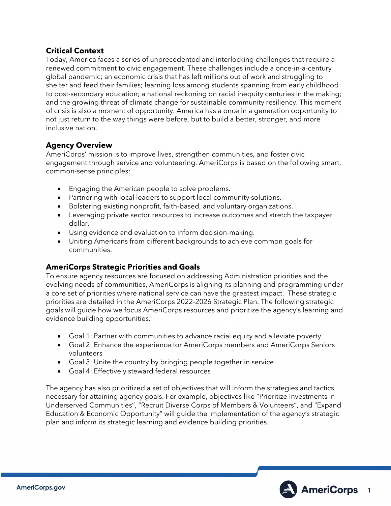# **Critical Context**

Today, America faces a series of unprecedented and interlocking challenges that require a renewed commitment to civic engagement. These challenges include a once-in-a-century global pandemic; an economic crisis that has left millions out of work and struggling to shelter and feed their families; learning loss among students spanning from early childhood to post-secondary education; a national reckoning on racial inequity centuries in the making; and the growing threat of climate change for sustainable community resiliency. This moment of crisis is also a moment of opportunity. America has a once in a generation opportunity to not just return to the way things were before, but to build a better, stronger, and more inclusive nation.

# **Agency Overview**

AmeriCorps' mission is to improve lives, strengthen communities, and foster civic engagement through service and volunteering. AmeriCorps is based on the following smart, common-sense principles:

- Engaging the American people to solve problems.
- Partnering with local leaders to support local community solutions.
- Bolstering existing nonprofit, faith-based, and voluntary organizations.
- Leveraging private sector resources to increase outcomes and stretch the taxpayer dollar.
- Using evidence and evaluation to inform decision-making.
- Uniting Americans from different backgrounds to achieve common goals for communities.

# **AmeriCorps Strategic Priorities and Goals**

To ensure agency resources are focused on addressing Administration priorities and the evolving needs of communities, AmeriCorps is aligning its planning and programming under a core set of priorities where national service can have the greatest impact. These strategic priorities are detailed in the AmeriCorps 2022-2026 Strategic Plan. The following strategic goals will guide how we focus AmeriCorps resources and prioritize the agency's learning and evidence building opportunities.

- Goal 1: Partner with communities to advance racial equity and alleviate poverty
- Goal 2: Enhance the experience for AmeriCorps members and AmeriCorps Seniors volunteers
- Goal 3: Unite the country by bringing people together in service
- Goal 4: Effectively steward federal resources

The agency has also prioritized a set of objectives that will inform the strategies and tactics necessary for attaining agency goals. For example, objectives like "Prioritize Investments in Underserved Communities", "Recruit Diverse Corps of Members & Volunteers", and "Expand Education & Economic Opportunity" will guide the implementation of the agency's strategic plan and inform its strategic learning and evidence building priorities.

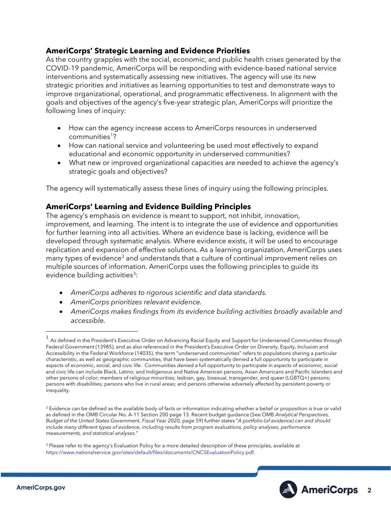# **AmeriCorps' Strategic Learning and Evidence Priorities**

As the country grapples with the social, economic, and public health crises generated by the COVID-19 pandemic, AmeriCorps will be responding with evidence-based national service interventions and systematically assessing new initiatives. The agency will use its new strategic priorities and initiatives as learning opportunities to test and demonstrate ways to improve organizational, operational, and programmatic effectiveness. In alignment with the goals and objectives of the agency's five-year strategic plan, AmeriCorps will prioritize the following lines of inquiry:

- How can the agency increase access to AmeriCorps resources in underserved communities<sup>[1](#page-2-0)</sup>?
- How can national service and volunteering be used most effectively to expand educational and economic opportunity in underserved communities?
- What new or improved organizational capacities are needed to achieve the agency's strategic goals and objectives?

The agency will systematically assess these lines of inquiry using the following principles.

# **AmeriCorps' Learning and Evidence Building Principles**

The agency's emphasis on evidence is meant to support, not inhibit, innovation, improvement, and learning. The intent is to integrate the use of evidence and opportunities for further learning into all activities. Where an evidence base is lacking, evidence will be developed through systematic analysis. Where evidence exists, it will be used to encourage replication and expansion of effective solutions. As a learning organization, AmeriCorps uses many types of evidence<sup>[2](#page-2-1)</sup> and understands that a culture of continual improvement relies on multiple sources of information. AmeriCorps uses the following principles to guide its evidence building activities<sup>[3](#page-2-2)</sup>:

- *AmeriCorps adheres to rigorous scientific and data standards.*
- *AmeriCorps prioritizes relevant evidence.*
- *AmeriCorps makes findings from its evidence building activities broadly available and accessible.*

<span id="page-2-2"></span><sup>&</sup>lt;sup>3</sup> Please refer to the agency's Evaluation Policy for a more detailed description of these principles, available at [https://www.nationalservice.gov/sites/default/files/documents/CNCSEvaluationPolicy.pdf.](https://www.nationalservice.gov/sites/default/files/documents/CNCSEvaluationPolicy.pdf)



<span id="page-2-0"></span> $^{\rm 1}$  As defined in the President's Executive Order on Advancing Racial Equity and Support for Underserved Communities through Federal Government (13985), and as also referenced in the President's Executive Order on Diversity, Equity, Inclusion and Accessibility in the Federal Workforce (14035), the term "underserved communities" refers to populations sharing a particular characteristic, as well as geographic communities, that have been systematically denied a full opportunity to participate in aspects of economic, social, and civic life. Communities denied a full opportunity to participate in aspects of economic, social and civic life can include Black, Latino, and Indigenous and Native American persons, Asian Americans and Pacific Islanders and other persons of color; members of religious minorities; lesbian, gay, bisexual, transgender, and queer (LGBTQ+) persons; persons with disabilities; persons who live in rural areas; and persons otherwise adversely affected by persistent poverty or inequality.

<span id="page-2-1"></span><sup>&</sup>lt;sup>2</sup> Evidence can be defined as the available body of facts or information indicating whether a belief or proposition is true or valid as defined in the OMB Circular No. A-11 Section 200 page 13. Recent budget guidance (See OMB *Analytical Perspectives, Budget of the United States Government, Fiscal Year 2020,* page 59) further states "*A portfolio (of evidence) can and should include many different types of evidence, including results from program evaluations, policy analyses, performance measurements, and statistical analyses*."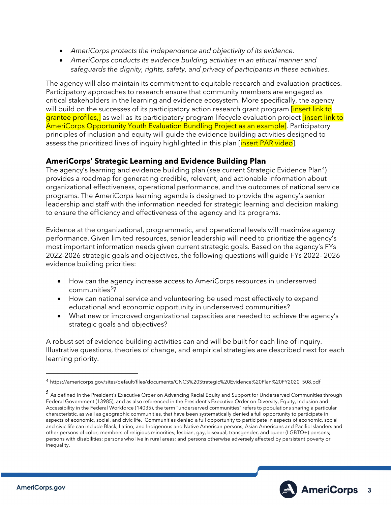- *AmeriCorps protects the independence and objectivity of its evidence.*
- *AmeriCorps conducts its evidence building activities in an ethical manner and safeguards the dignity, rights, safety, and privacy of participants in these activities.*

The agency will also maintain its commitment to equitable research and evaluation practices. Participatory approaches to research ensure that community members are engaged as critical stakeholders in the learning and evidence ecosystem. More specifically, the agency will build on the successes of its participatory action research grant program *[insert link to*] grantee profiles, as well as its participatory program lifecycle evaluation project linsert link to AmeriCorps Opportunity Youth Evaluation Bundling Project as an example]. Participatory principles of inclusion and equity will guide the evidence building activities designed to assess the prioritized lines of inquiry highlighted in this plan [insert PAR video].

# **AmeriCorps' Strategic Learning and Evidence Building Plan**

The agency's learning and evidence building plan (see current Strategic Evidence Plan<sup>[4](#page-3-0)</sup>) provides a roadmap for generating credible, relevant, and actionable information about organizational effectiveness, operational performance, and the outcomes of national service programs. The AmeriCorps learning agenda is designed to provide the agency's senior leadership and staff with the information needed for strategic learning and decision making to ensure the efficiency and effectiveness of the agency and its programs.

Evidence at the organizational, programmatic, and operational levels will maximize agency performance. Given limited resources, senior leadership will need to prioritize the agency's most important information needs given current strategic goals. Based on the agency's FYs 2022-2026 strategic goals and objectives, the following questions will guide FYs 2022- 2026 evidence building priorities:

- How can the agency increase access to AmeriCorps resources in underserved communities<sup>[5](#page-3-1)</sup>?
- How can national service and volunteering be used most effectively to expand educational and economic opportunity in underserved communities?
- What new or improved organizational capacities are needed to achieve the agency's strategic goals and objectives?

A robust set of evidence building activities can and will be built for each line of inquiry. Illustrative questions, theories of change, and empirical strategies are described next for each learning priority.



<span id="page-3-0"></span><sup>4</sup> https://americorps.gov/sites/default/files/documents/CNCS%20Strategic%20Evidence%20Plan%20FY2020\_508.pdf

<span id="page-3-1"></span><sup>5</sup> As defined in the President's Executive Order on Advancing Racial Equity and Support for Underserved Communities through Federal Government (13985), and as also referenced in the President's Executive Order on Diversity, Equity, Inclusion and Accessibility in the Federal Workforce (14035), the term "underserved communities" refers to populations sharing a particular characteristic, as well as geographic communities, that have been systematically denied a full opportunity to participate in aspects of economic, social, and civic life. Communities denied a full opportunity to participate in aspects of economic, social and civic life can include Black, Latino, and Indigenous and Native American persons, Asian Americans and Pacific Islanders and other persons of color; members of religious minorities; lesbian, gay, bisexual, transgender, and queer (LGBTQ+) persons; persons with disabilities; persons who live in rural areas; and persons otherwise adversely affected by persistent poverty or inequality.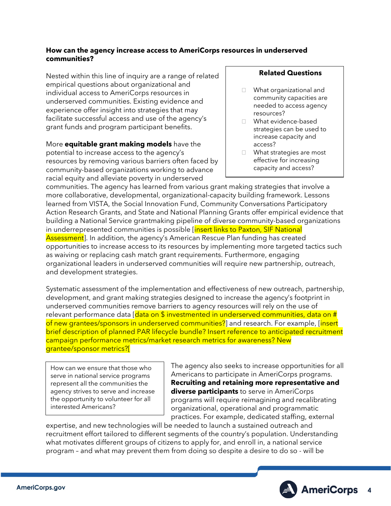#### **How can the agency increase access to AmeriCorps resources in underserved communities?**

Nested within this line of inquiry are a range of related empirical questions about organizational and individual access to AmeriCorps resources in underserved communities. Existing evidence and experience offer insight into strategies that may facilitate successful access and use of the agency's grant funds and program participant benefits.

More **equitable grant making models** have the potential to increase access to the agency's resources by removing various barriers often faced by community-based organizations working to advance racial equity and alleviate poverty in underserved

#### **Related Questions**

- □ What organizational and community capacities are needed to access agency resources?
- □ What evidence-based strategies can be used to increase capacity and access?
- □ What strategies are most effective for increasing capacity and access?

communities. The agency has learned from various grant making strategies that involve a more collaborative, developmental, organizational-capacity building framework. Lessons learned from VISTA, the Social Innovation Fund, Community Conversations Participatory Action Research Grants, and State and National Planning Grants offer empirical evidence that building a National Service grantmaking pipeline of diverse community-based organizations in underrepresented communities is possible [insert links to Paxton, SIF National Assessment]. In addition, the agency's American Rescue Plan funding has created opportunities to increase access to its resources by implementing more targeted tactics such as waiving or replacing cash match grant requirements. Furthermore, engaging organizational leaders in underserved communities will require new partnership, outreach, and development strategies.

Systematic assessment of the implementation and effectiveness of new outreach, partnership, development, and grant making strategies designed to increase the agency's footprint in underserved communities remove barriers to agency resources will rely on the use of relevant performance data [data on \$ investmented in underserved communities, data on # of new grantees/sponsors in underserved communities?] and research. For example, [insert brief description of planned PAR lifecycle bundle? Insert reference to anticipated recruitment campaign performance metrics/market research metrics for awareness? New grantee/sponsor metrics?[

How can we ensure that those who serve in national service programs represent all the communities the agency strives to serve and increase the opportunity to volunteer for all interested Americans?

The agency also seeks to increase opportunities for all Americans to participate in AmeriCorps programs. **Recruiting and retaining more representative and diverse participants** to serve in AmeriCorps programs will require reimagining and recalibrating organizational, operational and programmatic practices. For example, dedicated staffing, external

expertise, and new technologies will be needed to launch a sustained outreach and recruitment effort tailored to different segments of the country's population. Understanding what motivates different groups of citizens to apply for, and enroll in, a national service program – and what may prevent them from doing so despite a desire to do so - will be

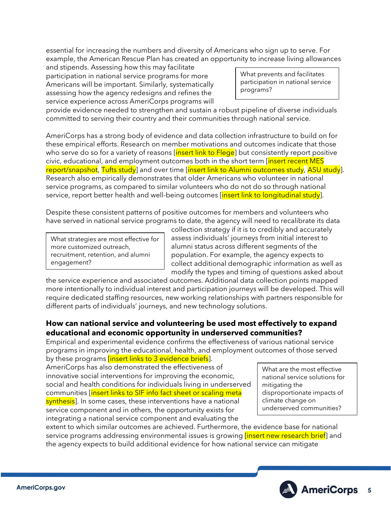essential for increasing the numbers and diversity of Americans who sign up to serve. For example, the American Rescue Plan has created an opportunity to increase living allowances

and stipends. Assessing how this may facilitate participation in national service programs for more Americans will be important. Similarly, systematically assessing how the agency redesigns and refines the service experience across AmeriCorps programs will

What prevents and facilitates participation in national service programs?

provide evidence needed to strengthen and sustain a robust pipeline of diverse individuals committed to serving their country and their communities through national service.

AmeriCorps has a strong body of evidence and data collection infrastructure to build on for these empirical efforts. Research on member motivations and outcomes indicate that those who serve do so for a variety of reasons  $\left| \right|$  insert link to Flege but consistently report positive civic, educational, and employment outcomes both in the short term [insert recent MES report/snapshot, Tufts study] and over time [insert link to Alumni outcomes study, ASU study]. Research also empirically demonstrates that older Americans who volunteer in national service programs, as compared to similar volunteers who do not do so through national service, report better health and well-being outcomes *[insert link to longitudinal study*].

Despite these consistent patterns of positive outcomes for members and volunteers who have served in national service programs to date, the agency will need to recalibrate its data

What strategies are most effective for more customized outreach, recruitment, retention, and alumni engagement?

collection strategy if it is to credibly and accurately assess individuals' journeys from initial interest to alumni status across different segments of the population. For example, the agency expects to collect additional demographic information as well as modify the types and timing of questions asked about

the service experience and associated outcomes. Additional data collection points mapped more intentionally to individual interest and participation journeys will be developed. This will require dedicated staffing resources, new working relationships with partners responsible for different parts of individuals' journeys, and new technology solutions.

# **How can national service and volunteering be used most effectively to expand educational and economic opportunity in underserved communities?**

Empirical and experimental evidence confirms the effectiveness of various national service programs in improving the educational, health, and employment outcomes of those served by these programs *[insert links to 3 evidence briefs*].

AmeriCorps has also demonstrated the effectiveness of innovative social interventions for improving the economic, social and health conditions for individuals living in underserved communities *[insert links to SIF info fact sheet or scaling meta]* synthesis]. In some cases, these interventions have a national service component and in others, the opportunity exists for integrating a national service component and evaluating the

What are the most effective national service solutions for mitigating the disproportionate impacts of climate change on underserved communities?

extent to which similar outcomes are achieved. Furthermore, the evidence base for national service programs addressing environmental issues is growing *[insert new research brief]* and the agency expects to build additional evidence for how national service can mitigate

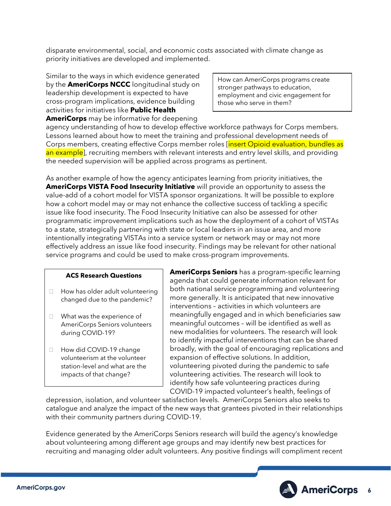disparate environmental, social, and economic costs associated with climate change as priority initiatives are developed and implemented.

Similar to the ways in which evidence generated by the **AmeriCorps NCCC** longitudinal study on leadership development is expected to have cross-program implications, evidence building activities for initiatives like **Public Health AmeriCorps** may be informative for deepening

How can AmeriCorps programs create stronger pathways to education, employment and civic engagement for those who serve in them?

agency understanding of how to develop effective workforce pathways for Corps members. Lessons learned about how to meet the training and professional development needs of Corps members, creating effective Corps member roles [insert Opioid evaluation, bundles as an example], recruiting members with relevant interests and entry level skills, and providing the needed supervision will be applied across programs as pertinent.

As another example of how the agency anticipates learning from priority initiatives, the **AmeriCorps VISTA Food Insecurity Initiative** will provide an opportunity to assess the value-add of a cohort model for VISTA sponsor organizations. It will be possible to explore how a cohort model may or may not enhance the collective success of tackling a specific issue like food insecurity. The Food Insecurity Initiative can also be assessed for other programmatic improvement implications such as how the deployment of a cohort of VISTAs to a state, strategically partnering with state or local leaders in an issue area, and more intentionally integrating VISTAs into a service system or network may or may not more effectively address an issue like food insecurity. Findings may be relevant for other national service programs and could be used to make cross-program improvements.

#### **ACS Research Questions**

- $\Box$  How has older adult volunteering changed due to the pandemic?
- What was the experience of AmeriCorps Seniors volunteers during COVID-19?
- □ How did COVID-19 change volunteerism at the volunteer station-level and what are the impacts of that change?

**AmeriCorps Seniors** has a program-specific learning agenda that could generate information relevant for both national service programming and volunteering more generally. It is anticipated that new innovative interventions – activities in which volunteers are meaningfully engaged and in which beneficiaries saw meaningful outcomes – will be identified as well as new modalities for volunteers. The research will look to identify impactful interventions that can be shared broadly, with the goal of encouraging replications and expansion of effective solutions. In addition, volunteering pivoted during the pandemic to safe volunteering activities. The research will look to identify how safe volunteering practices during COVID-19 impacted volunteer's health, feelings of

depression, isolation, and volunteer satisfaction levels. AmeriCorps Seniors also seeks to catalogue and analyze the impact of the new ways that grantees pivoted in their relationships with their community partners during COVID-19.

Evidence generated by the AmeriCorps Seniors research will build the agency's knowledge about volunteering among different age groups and may identify new best practices for recruiting and managing older adult volunteers. Any positive findings will compliment recent

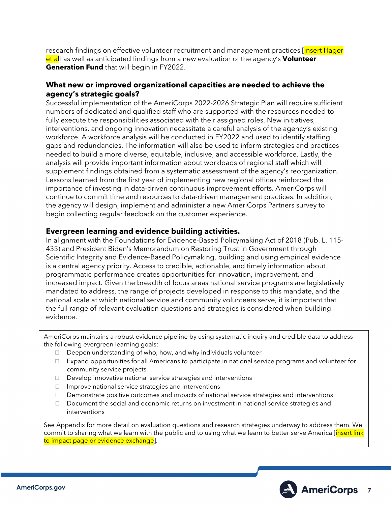research findings on effective volunteer recruitment and management practices [insert Hager] et al] as well as anticipated findings from a new evaluation of the agency's **Volunteer Generation Fund** that will begin in FY2022.

# **What new or improved organizational capacities are needed to achieve the agency's strategic goals?**

Successful implementation of the AmeriCorps 2022-2026 Strategic Plan will require sufficient numbers of dedicated and qualified staff who are supported with the resources needed to fully execute the responsibilities associated with their assigned roles. New initiatives, interventions, and ongoing innovation necessitate a careful analysis of the agency's existing workforce. A workforce analysis will be conducted in FY2022 and used to identify staffing gaps and redundancies. The information will also be used to inform strategies and practices needed to build a more diverse, equitable, inclusive, and accessible workforce. Lastly, the analysis will provide important information about workloads of regional staff which will supplement findings obtained from a systematic assessment of the agency's reorganization. Lessons learned from the first year of implementing new regional offices reinforced the importance of investing in data-driven continuous improvement efforts. AmeriCorps will continue to commit time and resources to data-driven management practices. In addition, the agency will design, implement and administer a new AmeriCorps Partners survey to begin collecting regular feedback on the customer experience.

# **Evergreen learning and evidence building activities.**

In alignment with the Foundations for Evidence-Based Policymaking Act of 2018 (Pub. L. 115- 435) and President Biden's Memorandum on Restoring Trust in Government through Scientific Integrity and Evidence-Based Policymaking, building and using empirical evidence is a central agency priority. Access to credible, actionable, and timely information about programmatic performance creates opportunities for innovation, improvement, and increased impact. Given the breadth of focus areas national service programs are legislatively mandated to address, the range of projects developed in response to this mandate, and the national scale at which national service and community volunteers serve, it is important that the full range of relevant evaluation questions and strategies is considered when building evidence.

AmeriCorps maintains a robust evidence pipeline by using systematic inquiry and credible data to address the following evergreen learning goals:

- $\Box$  Deepen understanding of who, how, and why individuals volunteer
- $\Box$  Expand opportunities for all Americans to participate in national service programs and volunteer for community service projects
- Develop innovative national service strategies and interventions
- $\Box$  Improve national service strategies and interventions
- $\Box$  Demonstrate positive outcomes and impacts of national service strategies and interventions
- Document the social and economic returns on investment in national service strategies and interventions

See Appendix for more detail on evaluation questions and research strategies underway to address them. We commit to sharing what we learn with the public and to using what we learn to better serve America [insert link to impact page or evidence exchange].

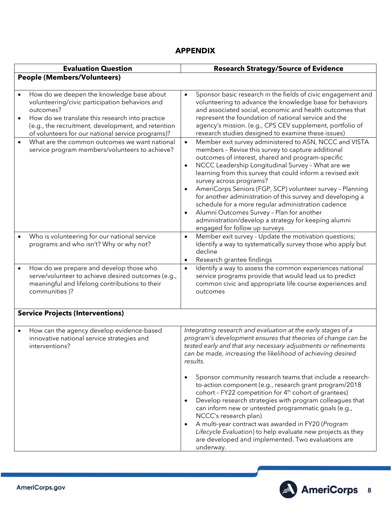# **APPENDIX**

| <b>Evaluation Question</b>              |                                                                                                                                                                                                                                                                        |                                     | <b>Research Strategy/Source of Evidence</b>                                                                                                                                                                                                                                                                                                                                                                                                                                                                                                                                                                                                                                                                                                                                                   |  |
|-----------------------------------------|------------------------------------------------------------------------------------------------------------------------------------------------------------------------------------------------------------------------------------------------------------------------|-------------------------------------|-----------------------------------------------------------------------------------------------------------------------------------------------------------------------------------------------------------------------------------------------------------------------------------------------------------------------------------------------------------------------------------------------------------------------------------------------------------------------------------------------------------------------------------------------------------------------------------------------------------------------------------------------------------------------------------------------------------------------------------------------------------------------------------------------|--|
| <b>People (Members/Volunteers)</b>      |                                                                                                                                                                                                                                                                        |                                     |                                                                                                                                                                                                                                                                                                                                                                                                                                                                                                                                                                                                                                                                                                                                                                                               |  |
|                                         |                                                                                                                                                                                                                                                                        |                                     |                                                                                                                                                                                                                                                                                                                                                                                                                                                                                                                                                                                                                                                                                                                                                                                               |  |
| $\bullet$                               | How do we deepen the knowledge base about<br>volunteering/civic participation behaviors and<br>outcomes?<br>How do we translate this research into practice<br>(e.g., the recruitment, development, and retention<br>of volunteers for our national service programs)? | $\bullet$                           | Sponsor basic research in the fields of civic engagement and<br>volunteering to advance the knowledge base for behaviors<br>and associated social, economic and health outcomes that<br>represent the foundation of national service and the<br>agency's mission. (e.g., CPS CEV supplement, portfolio of<br>research studies designed to examine these issues)                                                                                                                                                                                                                                                                                                                                                                                                                               |  |
| $\bullet$                               | What are the common outcomes we want national<br>service program members/volunteers to achieve?                                                                                                                                                                        | $\bullet$<br>$\bullet$<br>$\bullet$ | Member exit survey administered to ASN, NCCC and VISTA<br>members - Revise this survey to capture additional<br>outcomes of interest, shared and program-specific<br>NCCC Leadership Longitudinal Survey - What are we<br>learning from this survey that could inform a revised exit<br>survey across programs?<br>AmeriCorps Seniors (FGP, SCP) volunteer survey - Planning<br>for another administration of this survey and developing a<br>schedule for a more regular administration cadence<br>Alumni Outcomes Survey - Plan for another<br>administration/develop a strategy for keeping alumni                                                                                                                                                                                         |  |
| $\bullet$                               | Who is volunteering for our national service<br>programs and who isn't? Why or why not?                                                                                                                                                                                | $\bullet$                           | engaged for follow up surveys<br>Member exit survey - Update the motivation questions;<br>Identify a way to systematically survey those who apply but<br>decline<br>Research grantee findings                                                                                                                                                                                                                                                                                                                                                                                                                                                                                                                                                                                                 |  |
|                                         | How do we prepare and develop those who<br>serve/volunteer to achieve desired outcomes (e.g.,<br>meaningful and lifelong contributions to their<br>communities )?                                                                                                      | $\bullet$                           | Identify a way to assess the common experiences national<br>service programs provide that would lead us to predict<br>common civic and appropriate life course experiences and<br>outcomes                                                                                                                                                                                                                                                                                                                                                                                                                                                                                                                                                                                                    |  |
| <b>Service Projects (Interventions)</b> |                                                                                                                                                                                                                                                                        |                                     |                                                                                                                                                                                                                                                                                                                                                                                                                                                                                                                                                                                                                                                                                                                                                                                               |  |
| $\bullet$                               | How can the agency develop evidence-based<br>innovative national service strategies and<br>interventions?                                                                                                                                                              | $\bullet$<br>$\bullet$<br>$\bullet$ | Integrating research and evaluation at the early stages of a<br>program's development ensures that theories of change can be<br>tested early and that any necessary adjustments or refinements<br>can be made, increasing the likelihood of achieving desired<br>results.<br>Sponsor community research teams that include a research-<br>to-action component (e.g., research grant program/2018<br>cohort - FY22 competition for 4 <sup>th</sup> cohort of grantees)<br>Develop research strategies with program colleagues that<br>can inform new or untested programmatic goals (e.g.,<br>NCCC's research plan)<br>A multi-year contract was awarded in FY20 (Program<br>Lifecycle Evaluation) to help evaluate new projects as they<br>are developed and implemented. Two evaluations are |  |